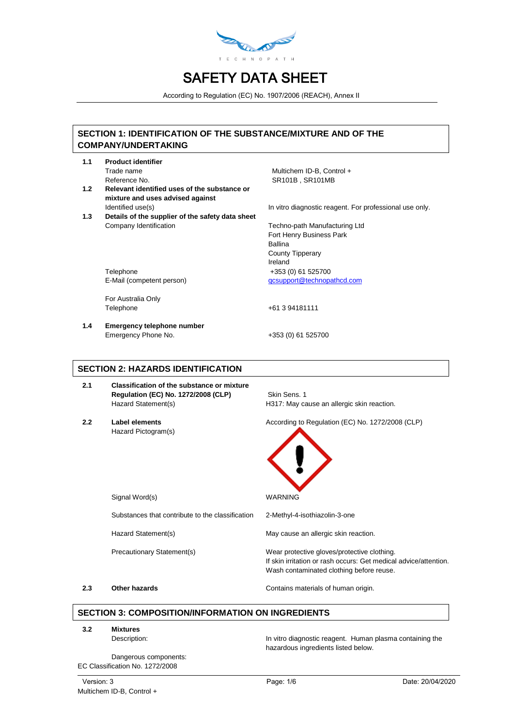

According to Regulation (EC) No. 1907/2006 (REACH), Annex II

# **SECTION 1: IDENTIFICATION OF THE SUBSTANCE/MIXTURE AND OF THE COMPANY/UNDERTAKING**

- **1.1 Product identifier**
- **1.2 Relevant identified uses of the substance or mixture and uses advised against**
- **1.3 Details of the supplier of the safety data sheet** Company Identification Techno-path Manufacturing Ltd

Telephone +353 (0) 61 525700 E-Mail (competent person)

For Australia Only Telephone

**1.4 Emergency telephone number** Emergency Phone No. +353 (0) 61 525700

Trade name **Multichem ID-B, Control** + Reference No. SR101B , SR101MB

Identified use(s) In vitro diagnostic reagent. For professional use only.

Fort Henry Business Park Ballina County Tipperary Ireland [qcsupport@technopathcd.com](mailto:qcsupport@technopathcd.com)

+61 3 94181111

## **SECTION 2: HAZARDS IDENTIFICATION**

- **2.1 Classification of the substance or mixture Regulation (EC) No. 1272/2008 (CLP)** Skin Sens. 1
- Hazard Pictogram(s)

Hazard Statement(s) H317: May cause an allergic skin reaction.

**2.2 Label elements According to Regulation (EC) No. 1272/2008 (CLP)** 



Signal Word(s) WARNING

Substances that contribute to the classification 2-Methyl-4-isothiazolin-3-one

Hazard Statement(s) May cause an allergic skin reaction.

Precautionary Statement(s) Wear protective gloves/protective clothing. If skin irritation or rash occurs: Get medical advice/attention. Wash contaminated clothing before reuse.

#### **2.3 Other hazards Contains materials of human origin.**

# **SECTION 3: COMPOSITION/INFORMATION ON INGREDIENTS**

**3.2 Mixtures**

Dangerous components: EC Classification No. 1272/2008

Description: **In vitro diagnostic reagent.** Human plasma containing the hazardous ingredients listed below.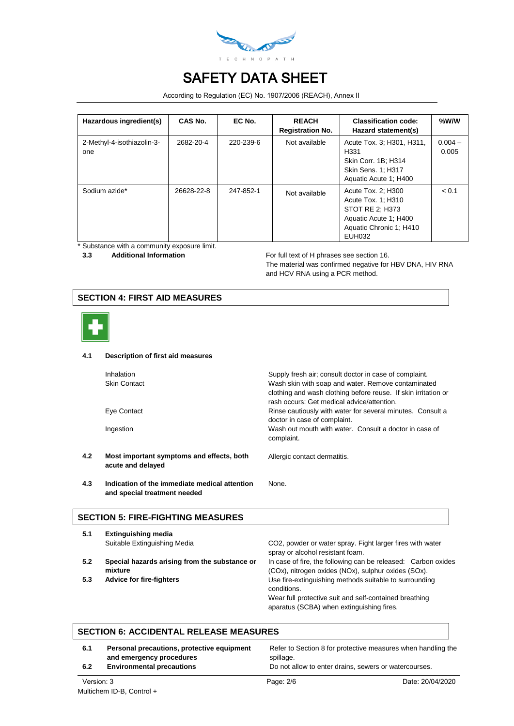

According to Regulation (EC) No. 1907/2006 (REACH), Annex II

| Hazardous ingredient(s)           | CAS No.    | EC No.    | <b>REACH</b><br><b>Registration No.</b> | <b>Classification code:</b><br>Hazard statement(s)                                                                        | %W/W               |
|-----------------------------------|------------|-----------|-----------------------------------------|---------------------------------------------------------------------------------------------------------------------------|--------------------|
| 2-Methyl-4-isothiazolin-3-<br>one | 2682-20-4  | 220-239-6 | Not available                           | Acute Tox. 3; H301, H311,<br>H <sub>331</sub><br>Skin Corr. 1B; H314<br>Skin Sens. 1: H317<br>Aquatic Acute 1; H400       | $0.004 -$<br>0.005 |
| Sodium azide*                     | 26628-22-8 | 247-852-1 | Not available                           | Acute Tox. 2: H300<br>Acute Tox. 1: H310<br>STOT RE 2: H373<br>Aquatic Acute 1; H400<br>Aquatic Chronic 1; H410<br>EUH032 | < 0.1              |

\* Substance with a community exposure limit.<br>3.3 Additional Information

**3.3** Additional Information **Accord For full text of H** phrases see section 16. The material was confirmed negative for HBV DNA, HIV RNA and HCV RNA using a PCR method.

## **SECTION 4: FIRST AID MEASURES**



#### **4.1 Description of first aid measures**

|     | <b>Inhalation</b><br><b>Skin Contact</b>                       | Supply fresh air; consult doctor in case of complaint.<br>Wash skin with soap and water. Remove contaminated<br>clothing and wash clothing before reuse. If skin irritation or |
|-----|----------------------------------------------------------------|--------------------------------------------------------------------------------------------------------------------------------------------------------------------------------|
|     |                                                                | rash occurs: Get medical advice/attention.                                                                                                                                     |
|     | Eye Contact                                                    | Rinse cautiously with water for several minutes. Consult a<br>doctor in case of complaint.                                                                                     |
|     | Ingestion                                                      | Wash out mouth with water. Consult a doctor in case of<br>complaint.                                                                                                           |
| 4.2 | Most important symptoms and effects, both<br>acute and delayed | Allergic contact dermatitis.                                                                                                                                                   |
|     |                                                                |                                                                                                                                                                                |

None.

**4.3 Indication of the immediate medical attention and special treatment needed**

#### **SECTION 5: FIRE-FIGHTING MEASURES**

| 5.1 | <b>Extinguishing media</b>                               |                                                                                                                      |
|-----|----------------------------------------------------------|----------------------------------------------------------------------------------------------------------------------|
|     | Suitable Extinguishing Media                             | CO2, powder or water spray. Fight larger fires with water<br>spray or alcohol resistant foam.                        |
| 5.2 | Special hazards arising from the substance or<br>mixture | In case of fire, the following can be released: Carbon oxides<br>(COx), nitrogen oxides (NOx), sulphur oxides (SOx). |
| 5.3 | <b>Advice for fire-fighters</b>                          | Use fire-extinguishing methods suitable to surrounding<br>conditions.                                                |
|     |                                                          | Wear full protective suit and self-contained breathing<br>aparatus (SCBA) when extinguishing fires.                  |

## **SECTION 6: ACCIDENTAL RELEASE MEASURES**

| 6.1<br>6.2 | Personal precautions, protective equipment<br>and emergency procedures<br><b>Environmental precautions</b> | Refer to Section 8 for protective measures when handling the<br>spillage.<br>Do not allow to enter drains, sewers or watercourses. |                  |
|------------|------------------------------------------------------------------------------------------------------------|------------------------------------------------------------------------------------------------------------------------------------|------------------|
| Version: 3 |                                                                                                            | Page: 2/6                                                                                                                          | Date: 20/04/2020 |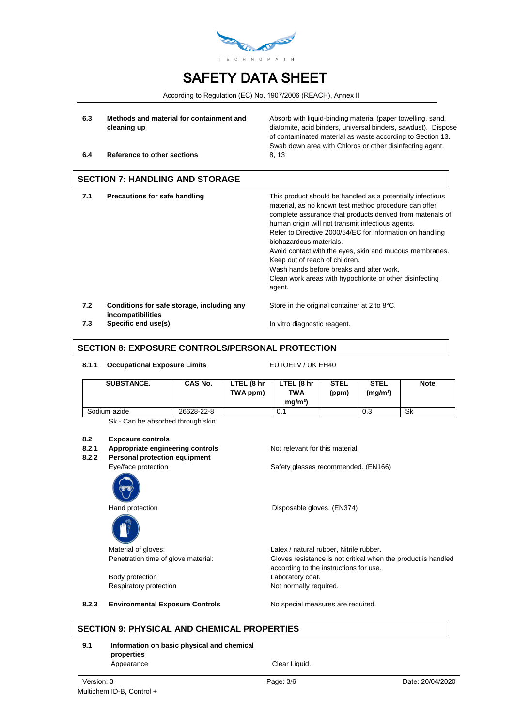

According to Regulation (EC) No. 1907/2006 (REACH), Annex II

- **6.3 Methods and material for containment and cleaning up**
- **6.4 Reference to other sections** 8, 13

Absorb with liquid-binding material (paper towelling, sand, diatomite, acid binders, universal binders, sawdust). Dispose of contaminated material as waste according to Section 13. Swab down area with Chloros or other disinfecting agent.

**SECTION 7: HANDLING AND STORAGE**

| 7.1 | Precautions for safe handling              | This product should be handled as a potentially infectious<br>material, as no known test method procedure can offer<br>complete assurance that products derived from materials of<br>human origin will not transmit infectious agents.<br>Refer to Directive 2000/54/EC for information on handling<br>biohazardous materials.<br>Avoid contact with the eyes, skin and mucous membranes.<br>Keep out of reach of children.<br>Wash hands before breaks and after work.<br>Clean work areas with hypochlorite or other disinfecting<br>agent. |
|-----|--------------------------------------------|-----------------------------------------------------------------------------------------------------------------------------------------------------------------------------------------------------------------------------------------------------------------------------------------------------------------------------------------------------------------------------------------------------------------------------------------------------------------------------------------------------------------------------------------------|
| 7.2 | Conditions for safe storage, including any | Store in the original container at 2 to 8°C.                                                                                                                                                                                                                                                                                                                                                                                                                                                                                                  |

**incompatibilities 7.3 Specific end use(s) In vitro diagnostic reagent.** 

## **SECTION 8: EXPOSURE CONTROLS/PERSONAL PROTECTION**

#### 8.1.1 Occupational Exposure Limits **EU IOELV / UK EH40**

| <b>SUBSTANCE.</b> | <b>CAS No.</b> | LTEL (8 hr<br>TWA ppm) | LTEL (8 hr<br><b>TWA</b><br>ma/m <sup>3</sup> | <b>STEL</b><br>(ppm) | <b>STEL</b><br>(mg/m <sup>3</sup> ) | <b>Note</b> |
|-------------------|----------------|------------------------|-----------------------------------------------|----------------------|-------------------------------------|-------------|
| Sodium azide      | 26628-22-8     |                        | 0.1                                           |                      | 0.3                                 | Sk          |

Sk - Can be absorbed through skin.

# **8.2 Exposure controls**

- **Appropriate engineering controls** Not relevant for this material.
- **8.2.2 Personal protection equipment**





Body protection **Laboratory coat.** Respiratory protection Not normally required.

Eye/face protection Safety glasses recommended. (EN166)

Hand protection **Disposable gloves.** (EN374)

Material of gloves:  $Latex / natural rubber$ , Nitrile rubber. Penetration time of glove material: Gloves resistance is not critical when the product is handled according to the instructions for use.

8.2.3 **Environmental Exposure Controls** No special measures are required.

#### **SECTION 9: PHYSICAL AND CHEMICAL PROPERTIES**

#### **9.1 Information on basic physical and chemical properties** Appearance Clear Liquid.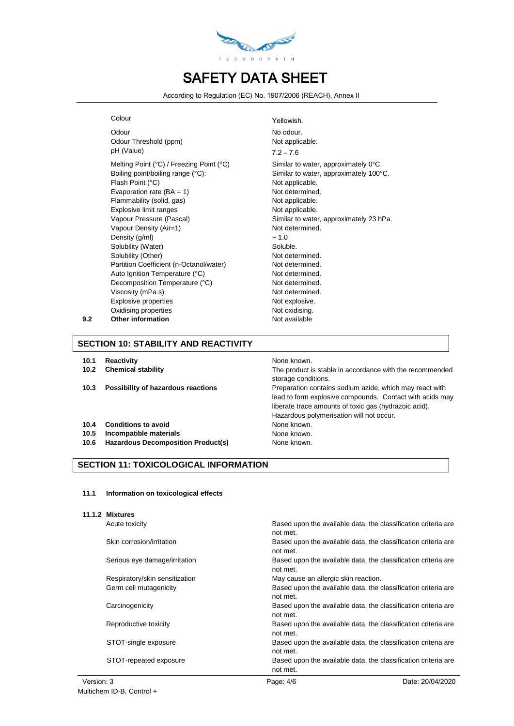

According to Regulation (EC) No. 1907/2006 (REACH), Annex II

Odour Threshold (ppm) Not applicable. pH (Value) 7.2 – 7.6 Melting Point (°C) / Freezing Point (°C) Similar to water, approximately 0°C. Boiling point/boiling range (°C): Similar to water, approximately 100°C. Flash Point (°C) and the contract of the Not applicable. Evaporation rate  $(BA = 1)$  Not determined. Flammability (solid, gas) Not applicable. Explosive limit ranges Not applicable. Vapour Pressure (Pascal) Similar to water, approximately 23 hPa. Vapour Density (Air=1) Not determined. Density  $(q/ml)$   $\sim 1.0$ Solubility (Water) Soluble. Solubility (Other) Not determined. Partition Coefficient (n-Octanol/water) Not determined. Auto Ignition Temperature (°C) Not determined. Decomposition Temperature (°C) Not determined. Viscosity (mPa.s) Not determined. Explosive properties Not explosive. Oxidising properties Not oxidising. **9.2 Other information** Not available

Colour Colour Colour Colour Colour Odour No odour.

## **SECTION 10: STABILITY AND REACTIVITY**

- **10.1 Reactivity None known. None known.**
- 
- 
- **10.4 Conditions to avoid** None known.
- 
- **10.6 Hazardous Decomposition Product(s)** None known.

#### **SECTION 11: TOXICOLOGICAL INFORMATION**

#### **11.1 Information on toxicological effects**

| 11.1.2 Mixtures                |                                                                            |
|--------------------------------|----------------------------------------------------------------------------|
| Acute toxicity                 | Based upon the available data, the classification criteria are<br>not met. |
| Skin corrosion/irritation      | Based upon the available data, the classification criteria are<br>not met. |
| Serious eye damage/irritation  | Based upon the available data, the classification criteria are<br>not met. |
| Respiratory/skin sensitization | May cause an allergic skin reaction.                                       |
| Germ cell mutagenicity         | Based upon the available data, the classification criteria are<br>not met. |
| Carcinogenicity                | Based upon the available data, the classification criteria are<br>not met. |
| Reproductive toxicity          | Based upon the available data, the classification criteria are<br>not met. |
| STOT-single exposure           | Based upon the available data, the classification criteria are<br>not met. |
| STOT-repeated exposure         | Based upon the available data, the classification criteria are<br>not met. |

**10.2 Chemical stability** The product is stable in accordance with the recommended storage conditions. 10.3 **Possibility of hazardous reactions Preparation contains sodium azide, which may react with** lead to form explosive compounds. Contact with acids may liberate trace amounts of toxic gas (hydrazoic acid). Hazardous polymerisation will not occur.

**10.5 Incompatible materials None known. None known.**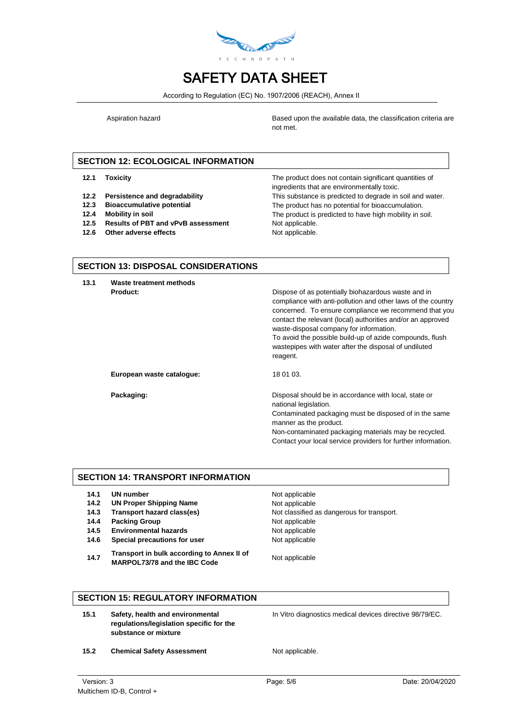

According to Regulation (EC) No. 1907/2006 (REACH), Annex II

Aspiration hazard **Based upon the available data, the classification criteria are** not met.

# **SECTION 12: ECOLOGICAL INFORMATION**

- 
- 
- 
- 
- **12.5 Results of PBT and vPvB assessment** Not applicable.
- **12.6** Other adverse effects Not applicable.

**12.1 Toxicity** The product does not contain significant quantities of ingredients that are environmentally toxic. **12.2 Persistence and degradability** This substance is predicted to degrade in soil and water. **12.3 Bioaccumulative potential** The product has no potential for bioaccumulation. **12.4 Mobility in soil** The product is predicted to have high mobility in soil.

## **SECTION 13: DISPOSAL CONSIDERATIONS**

**13.1 Waste treatment methods Product: Product: Product: Dispose of as potentially biohazardous waste and in** compliance with anti-pollution and other laws of the country concerned. To ensure compliance we recommend that you contact the relevant (local) authorities and/or an approved waste-disposal company for information. To avoid the possible build-up of azide compounds, flush wastepipes with water after the disposal of undiluted reagent. European waste catalogue: 18 01 03. **Packaging: Packaging: Packaging: Disposal should be in accordance with local, state or** national legislation. Contaminated packaging must be disposed of in the same manner as the product. Non-contaminated packaging materials may be recycled. Contact your local service providers for further information.

## **SECTION 14: TRANSPORT INFORMATION**

- **14.1 UN number** Not applicable
- **14.2 UN Proper Shipping Name** Not applicable
- 
- **14.4 Packing Group Not applicable**
- **14.5 Environmental hazards Not applicable**
- **14.6 Special precautions for user** Not applicable
- **14.7 Transport in bulk according to Annex II of MARPOL73/78 and the IBC Code** Not applicable

**14.3 Transport hazard class(es)** Not classified as dangerous for transport.

#### **SECTION 15: REGULATORY INFORMATION**

**15.1 Safety, health and environmental regulations/legislation specific for the substance or mixture**

In Vitro diagnostics medical devices directive 98/79/EC.

15.2 **Chemical Safety Assessment** Not applicable.